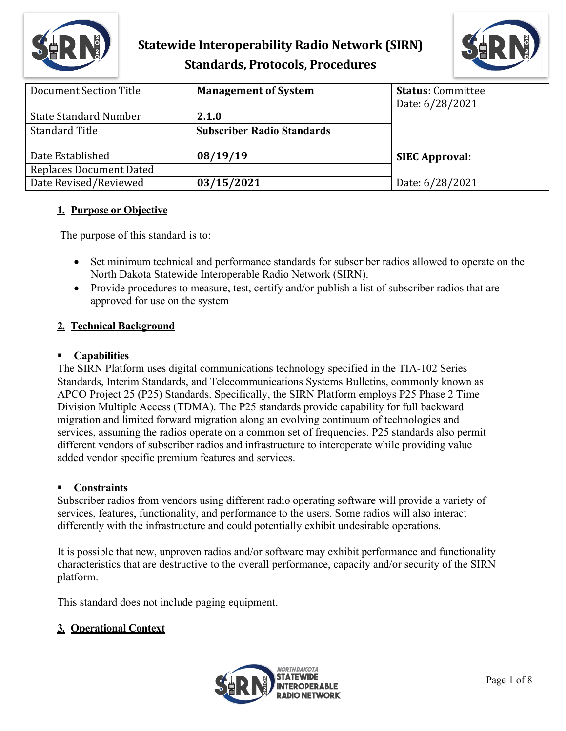



| Document Section Title       | <b>Management of System</b>       | <b>Status: Committee</b><br>Date: 6/28/2021 |
|------------------------------|-----------------------------------|---------------------------------------------|
| <b>State Standard Number</b> | 2.1.0                             |                                             |
| <b>Standard Title</b>        | <b>Subscriber Radio Standards</b> |                                             |
| Date Established             | 08/19/19                          | <b>SIEC Approval:</b>                       |
| Replaces Document Dated      |                                   |                                             |
| Date Revised/Reviewed        | 03/15/2021                        | Date: 6/28/2021                             |

### **1. Purpose or Objective**

The purpose of this standard is to:

- Set minimum technical and performance standards for subscriber radios allowed to operate on the North Dakota Statewide Interoperable Radio Network (SIRN).
- Provide procedures to measure, test, certify and/or publish a list of subscriber radios that are approved for use on the system

### **2. Technical Background**

#### **Capabilities**

The SIRN Platform uses digital communications technology specified in the TIA-102 Series Standards, Interim Standards, and Telecommunications Systems Bulletins, commonly known as APCO Project 25 (P25) Standards. Specifically, the SIRN Platform employs P25 Phase 2 Time Division Multiple Access (TDMA). The P25 standards provide capability for full backward migration and limited forward migration along an evolving continuum of technologies and services, assuming the radios operate on a common set of frequencies. P25 standards also permit different vendors of subscriber radios and infrastructure to interoperate while providing value added vendor specific premium features and services.

#### **Constraints**

Subscriber radios from vendors using different radio operating software will provide a variety of services, features, functionality, and performance to the users. Some radios will also interact differently with the infrastructure and could potentially exhibit undesirable operations.

It is possible that new, unproven radios and/or software may exhibit performance and functionality characteristics that are destructive to the overall performance, capacity and/or security of the SIRN platform.

This standard does not include paging equipment.

### **3. Operational Context**

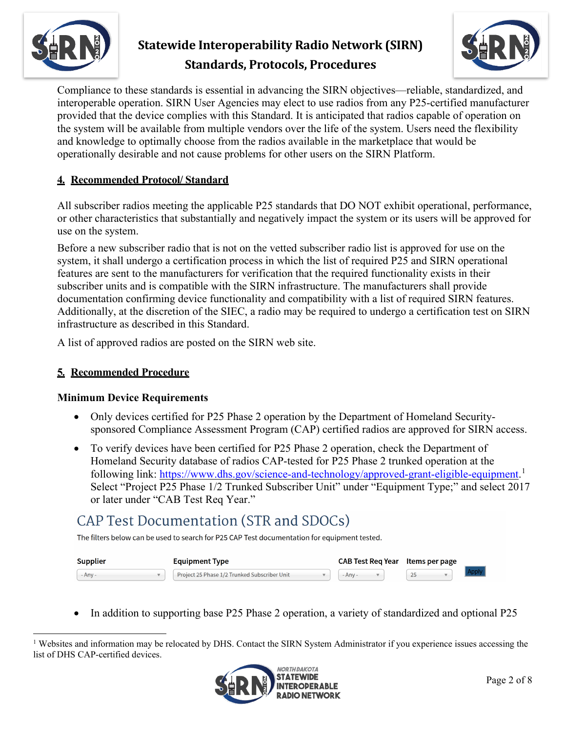



Compliance to these standards is essential in advancing the SIRN objectives—reliable, standardized, and interoperable operation. SIRN User Agencies may elect to use radios from any P25-certified manufacturer provided that the device complies with this Standard. It is anticipated that radios capable of operation on the system will be available from multiple vendors over the life of the system. Users need the flexibility and knowledge to optimally choose from the radios available in the marketplace that would be operationally desirable and not cause problems for other users on the SIRN Platform.

## **4. Recommended Protocol/ Standard**

All subscriber radios meeting the applicable P25 standards that DO NOT exhibit operational, performance, or other characteristics that substantially and negatively impact the system or its users will be approved for use on the system.

Before a new subscriber radio that is not on the vetted subscriber radio list is approved for use on the system, it shall undergo a certification process in which the list of required P25 and SIRN operational features are sent to the manufacturers for verification that the required functionality exists in their subscriber units and is compatible with the SIRN infrastructure. The manufacturers shall provide documentation confirming device functionality and compatibility with a list of required SIRN features. Additionally, at the discretion of the SIEC, a radio may be required to undergo a certification test on SIRN infrastructure as described in this Standard.

A list of approved radios are posted on the SIRN web site.

### **5. Recommended Procedure**

### **Minimum Device Requirements**

- Only devices certified for P25 Phase 2 operation by the Department of Homeland Securitysponsored Compliance Assessment Program (CAP) certified radios are approved for SIRN access.
- To verify devices have been certified for P25 Phase 2 operation, check the Department of Homeland Security database of radios CAP-tested for P25 Phase 2 trunked operation at the following link: [https://www.dhs.gov/science-and-technology/approved-grant-eligible-equipment.](https://www.dhs.gov/science-and-technology/approved-grant-eligible-equipment)<sup>[1](#page-1-0)</sup> Select "Project P25 Phase 1/2 Trunked Subscriber Unit" under "Equipment Type;" and select 2017 or later under "CAB Test Req Year."

# CAP Test Documentation (STR and SDOCs)

The filters below can be used to search for P25 CAP Test documentation for equipment tested.

| <b>Supplier</b> |  | <b>Equipment Type</b>                        |  |         |  |          |  |
|-----------------|--|----------------------------------------------|--|---------|--|----------|--|
| - Anv           |  | Project 25 Phase 1/2 Trunked Subscriber Unit |  | - Anv - |  | $\Omega$ |  |

• In addition to supporting base P25 Phase 2 operation, a variety of standardized and optional P25

<span id="page-1-0"></span><sup>&</sup>lt;sup>1</sup> Websites and information may be relocated by DHS. Contact the SIRN System Administrator if you experience issues accessing the list of DHS CAP-certified devices.

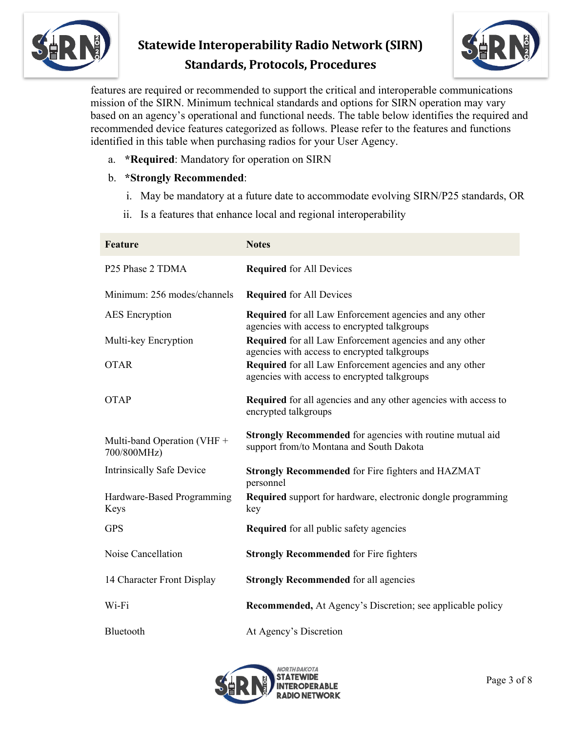



features are required or recommended to support the critical and interoperable communications mission of the SIRN. Minimum technical standards and options for SIRN operation may vary based on an agency's operational and functional needs. The table below identifies the required and recommended device features categorized as follows. Please refer to the features and functions identified in this table when purchasing radios for your User Agency.

a. **\*Required**: Mandatory for operation on SIRN

### b. **\*Strongly Recommended**:

- i. May be mandatory at a future date to accommodate evolving SIRN/P25 standards, OR
- ii. Is a features that enhance local and regional interoperability

| <b>Feature</b>                             | <b>Notes</b>                                                                                                 |
|--------------------------------------------|--------------------------------------------------------------------------------------------------------------|
| P25 Phase 2 TDMA                           | <b>Required</b> for All Devices                                                                              |
| Minimum: 256 modes/channels                | <b>Required</b> for All Devices                                                                              |
| <b>AES</b> Encryption                      | Required for all Law Enforcement agencies and any other<br>agencies with access to encrypted talkgroups      |
| Multi-key Encryption                       | Required for all Law Enforcement agencies and any other<br>agencies with access to encrypted talkgroups      |
| <b>OTAR</b>                                | Required for all Law Enforcement agencies and any other<br>agencies with access to encrypted talkgroups      |
| <b>OTAP</b>                                | <b>Required</b> for all agencies and any other agencies with access to<br>encrypted talkgroups               |
| Multi-band Operation (VHF +<br>700/800MHz) | <b>Strongly Recommended</b> for agencies with routine mutual aid<br>support from/to Montana and South Dakota |
| <b>Intrinsically Safe Device</b>           | <b>Strongly Recommended for Fire fighters and HAZMAT</b><br>personnel                                        |
| Hardware-Based Programming<br>Keys         | <b>Required</b> support for hardware, electronic dongle programming<br>key                                   |
| <b>GPS</b>                                 | <b>Required</b> for all public safety agencies                                                               |
| Noise Cancellation                         | <b>Strongly Recommended for Fire fighters</b>                                                                |
| 14 Character Front Display                 | <b>Strongly Recommended for all agencies</b>                                                                 |
| Wi-Fi                                      | Recommended, At Agency's Discretion; see applicable policy                                                   |
| Bluetooth                                  | At Agency's Discretion                                                                                       |

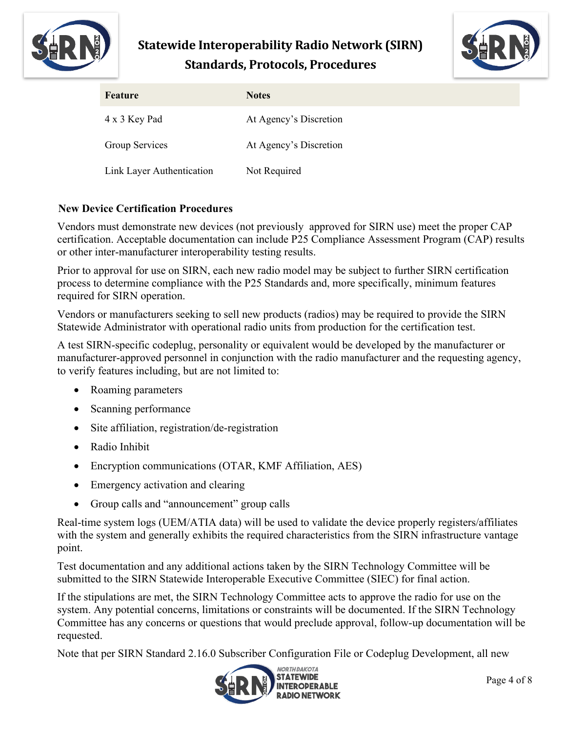



| Feature                   | <b>Notes</b>           |
|---------------------------|------------------------|
| 4 x 3 Key Pad             | At Agency's Discretion |
| Group Services            | At Agency's Discretion |
| Link Layer Authentication | Not Required           |

### **New Device Certification Procedures**

Vendors must demonstrate new devices (not previously approved for SIRN use) meet the proper CAP certification. Acceptable documentation can include P25 Compliance Assessment Program (CAP) results or other inter-manufacturer interoperability testing results.

Prior to approval for use on SIRN, each new radio model may be subject to further SIRN certification process to determine compliance with the P25 Standards and, more specifically, minimum features required for SIRN operation.

Vendors or manufacturers seeking to sell new products (radios) may be required to provide the SIRN Statewide Administrator with operational radio units from production for the certification test.

A test SIRN-specific codeplug, personality or equivalent would be developed by the manufacturer or manufacturer-approved personnel in conjunction with the radio manufacturer and the requesting agency, to verify features including, but are not limited to:

- Roaming parameters
- Scanning performance
- Site affiliation, registration/de-registration
- Radio Inhibit
- Encryption communications (OTAR, KMF Affiliation, AES)
- Emergency activation and clearing
- Group calls and "announcement" group calls

Real-time system logs (UEM/ATIA data) will be used to validate the device properly registers/affiliates with the system and generally exhibits the required characteristics from the SIRN infrastructure vantage point.

Test documentation and any additional actions taken by the SIRN Technology Committee will be submitted to the SIRN Statewide Interoperable Executive Committee (SIEC) for final action.

If the stipulations are met, the SIRN Technology Committee acts to approve the radio for use on the system. Any potential concerns, limitations or constraints will be documented. If the SIRN Technology Committee has any concerns or questions that would preclude approval, follow-up documentation will be requested.

Note that per SIRN Standard 2.16.0 Subscriber Configuration File or Codeplug Development, all new

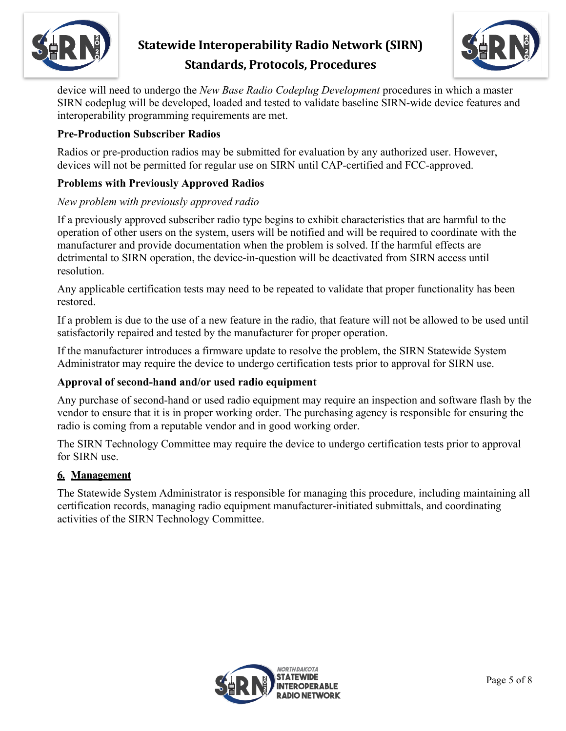



device will need to undergo the *New Base Radio Codeplug Development* procedures in which a master SIRN codeplug will be developed, loaded and tested to validate baseline SIRN-wide device features and interoperability programming requirements are met.

### **Pre-Production Subscriber Radios**

Radios or pre-production radios may be submitted for evaluation by any authorized user. However, devices will not be permitted for regular use on SIRN until CAP-certified and FCC-approved.

### **Problems with Previously Approved Radios**

#### *New problem with previously approved radio*

If a previously approved subscriber radio type begins to exhibit characteristics that are harmful to the operation of other users on the system, users will be notified and will be required to coordinate with the manufacturer and provide documentation when the problem is solved. If the harmful effects are detrimental to SIRN operation, the device-in-question will be deactivated from SIRN access until resolution.

Any applicable certification tests may need to be repeated to validate that proper functionality has been restored.

If a problem is due to the use of a new feature in the radio, that feature will not be allowed to be used until satisfactorily repaired and tested by the manufacturer for proper operation.

If the manufacturer introduces a firmware update to resolve the problem, the SIRN Statewide System Administrator may require the device to undergo certification tests prior to approval for SIRN use.

#### **Approval of second-hand and/or used radio equipment**

Any purchase of second-hand or used radio equipment may require an inspection and software flash by the vendor to ensure that it is in proper working order. The purchasing agency is responsible for ensuring the radio is coming from a reputable vendor and in good working order.

The SIRN Technology Committee may require the device to undergo certification tests prior to approval for SIRN use.

#### **6. Management**

The Statewide System Administrator is responsible for managing this procedure, including maintaining all certification records, managing radio equipment manufacturer-initiated submittals, and coordinating activities of the SIRN Technology Committee.

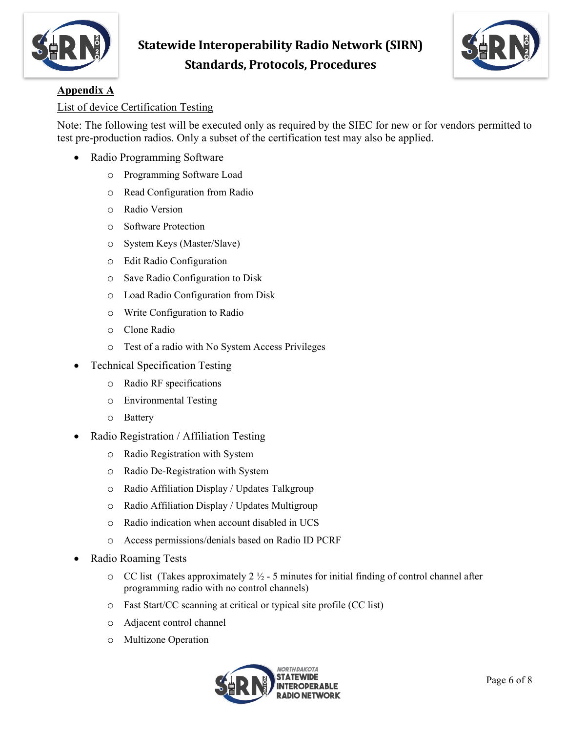



## **Appendix A**

#### List of device Certification Testing

Note: The following test will be executed only as required by the SIEC for new or for vendors permitted to test pre-production radios. Only a subset of the certification test may also be applied.

- Radio Programming Software
	- o Programming Software Load
	- o Read Configuration from Radio
	- o Radio Version
	- o Software Protection
	- o System Keys (Master/Slave)
	- o Edit Radio Configuration
	- o Save Radio Configuration to Disk
	- o Load Radio Configuration from Disk
	- o Write Configuration to Radio
	- o Clone Radio
	- o Test of a radio with No System Access Privileges
- Technical Specification Testing
	- o Radio RF specifications
	- o Environmental Testing
	- o Battery
- Radio Registration / Affiliation Testing
	- o Radio Registration with System
	- o Radio De-Registration with System
	- o Radio Affiliation Display / Updates Talkgroup
	- o Radio Affiliation Display / Updates Multigroup
	- o Radio indication when account disabled in UCS
	- o Access permissions/denials based on Radio ID PCRF
- Radio Roaming Tests
	- $\circ$  CC list (Takes approximately 2  $\frac{1}{2}$  5 minutes for initial finding of control channel after programming radio with no control channels)
	- o Fast Start/CC scanning at critical or typical site profile (CC list)
	- o Adjacent control channel
	- o Multizone Operation

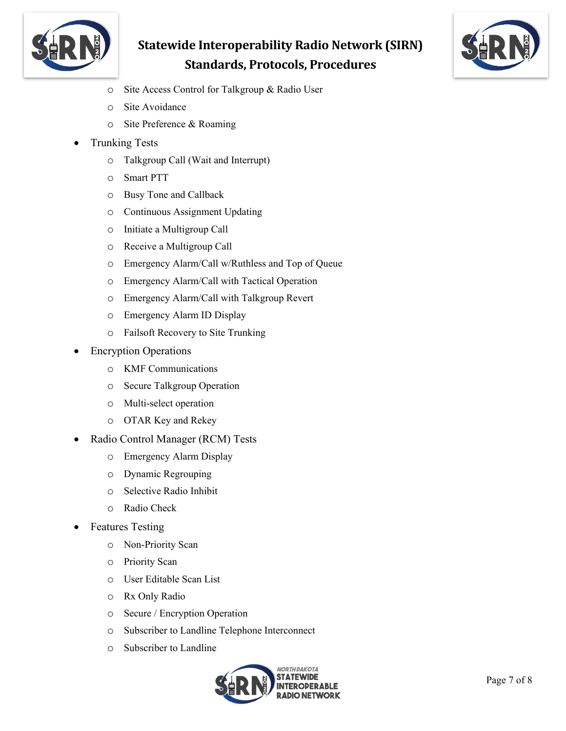



- o Site Access Control for Talkgroup & Radio User
- o Site Avoidance
- o Site Preference & Roaming
- Trunking Tests
	- o Talkgroup Call (Wait and Interrupt)
	- o Smart PTT
	- o Busy Tone and Callback
	- o Continuous Assignment Updating
	- o Initiate a Multigroup Call
	- o Receive a Multigroup Call
	- o Emergency Alarm/Call w/Ruthless and Top of Queue
	- o Emergency Alarm/Call with Tactical Operation
	- o Emergency Alarm/Call with Talkgroup Revert
	- o Emergency Alarm ID Display
	- o Failsoft Recovery to Site Trunking
- **Encryption Operations** 
	- o KMF Communications
	- o Secure Talkgroup Operation
	- o Multi-select operation
	- o OTAR Key and Rekey
- Radio Control Manager (RCM) Tests
	- o Emergency Alarm Display
	- o Dynamic Regrouping
	- o Selective Radio Inhibit
	- o Radio Check
- Features Testing
	- o Non-Priority Scan
	- o Priority Scan
	- o User Editable Scan List
	- o Rx Only Radio
	- o Secure / Encryption Operation
	- o Subscriber to Landline Telephone Interconnect
	- o Subscriber to Landline